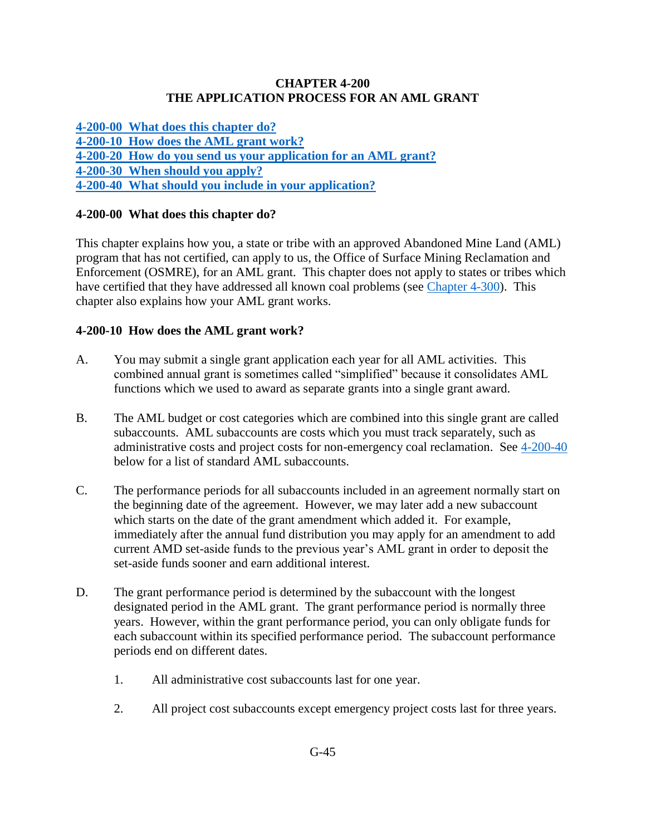## **CHAPTER 4-200 THE APPLICATION PROCESS FOR AN AML GRANT**

**[4-200-00 What does this chapter do?](#page-0-0) [4-200-10 How does the AML grant work?](#page-0-1) [4-200-20 How do you send us your application for an AML grant?](#page-1-0) [4-200-30 When should you apply?](#page-1-1) 4-200-40 What [should you include in your application?](#page-1-2)**

# <span id="page-0-0"></span>**4-200-00 What does this chapter do?**

This chapter explains how you, a state or tribe with an approved Abandoned Mine Land (AML) program that has not certified, can apply to us, the Office of Surface Mining Reclamation and Enforcement (OSMRE), for an AML grant. This chapter does not apply to states or tribes which have certified that they have addressed all known coal problems (see [Chapter 4-300\)](https://www.osmre.gov/lrg/fam/4-300.pdf). This chapter also explains how your AML grant works.

# <span id="page-0-1"></span>**4-200-10 How does the AML grant work?**

- A. You may submit a single grant application each year for all AML activities. This combined annual grant is sometimes called "simplified" because it consolidates AML functions which we used to award as separate grants into a single grant award.
- B. The AML budget or cost categories which are combined into this single grant are called subaccounts. AML subaccounts are costs which you must track separately, such as administrative costs and project costs for non-emergency coal reclamation. See [4-200-40](https://www.osmre.gov/lrg/fam/4-200.pdf) below for a list of standard AML subaccounts.
- C. The performance periods for all subaccounts included in an agreement normally start on the beginning date of the agreement. However, we may later add a new subaccount which starts on the date of the grant amendment which added it. For example, immediately after the annual fund distribution you may apply for an amendment to add current AMD set-aside funds to the previous year's AML grant in order to deposit the set-aside funds sooner and earn additional interest.
- D. The grant performance period is determined by the subaccount with the longest designated period in the AML grant. The grant performance period is normally three years. However, within the grant performance period, you can only obligate funds for each subaccount within its specified performance period. The subaccount performance periods end on different dates.
	- 1. All administrative cost subaccounts last for one year.
	- 2. All project cost subaccounts except emergency project costs last for three years.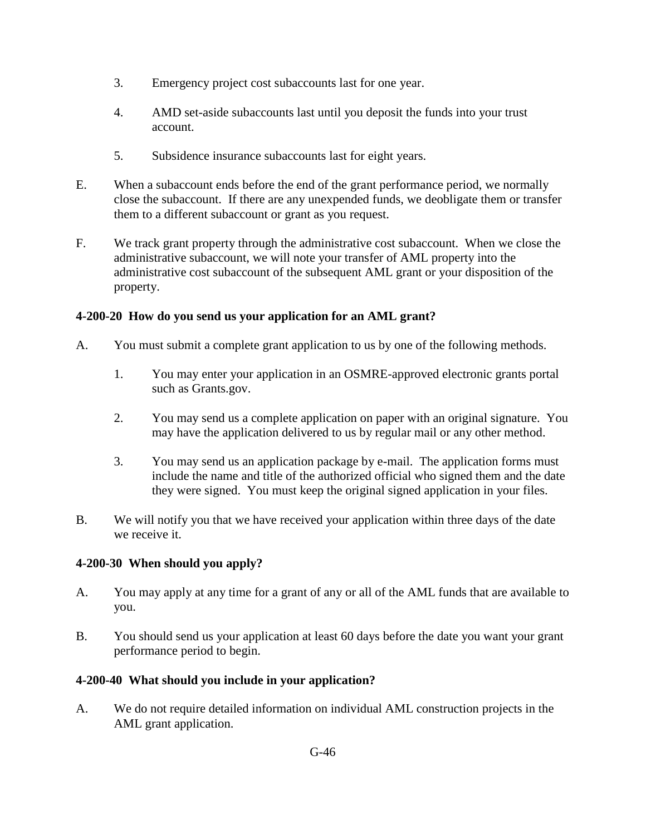- 3. Emergency project cost subaccounts last for one year.
- 4. AMD set-aside subaccounts last until you deposit the funds into your trust account.
- 5. Subsidence insurance subaccounts last for eight years.
- E. When a subaccount ends before the end of the grant performance period, we normally close the subaccount. If there are any unexpended funds, we deobligate them or transfer them to a different subaccount or grant as you request.
- F. We track grant property through the administrative cost subaccount. When we close the administrative subaccount, we will note your transfer of AML property into the administrative cost subaccount of the subsequent AML grant or your disposition of the property.

## <span id="page-1-0"></span>**4-200-20 How do you send us your application for an AML grant?**

- A. You must submit a complete grant application to us by one of the following methods.
	- 1. You may enter your application in an OSMRE-approved electronic grants portal such as Grants.gov.
	- 2. You may send us a complete application on paper with an original signature. You may have the application delivered to us by regular mail or any other method.
	- 3. You may send us an application package by e-mail. The application forms must include the name and title of the authorized official who signed them and the date they were signed. You must keep the original signed application in your files.
- B. We will notify you that we have received your application within three days of the date we receive it.

#### <span id="page-1-1"></span>**4-200-30 When should you apply?**

- A. You may apply at any time for a grant of any or all of the AML funds that are available to you.
- B. You should send us your application at least 60 days before the date you want your grant performance period to begin.

#### <span id="page-1-2"></span>**4-200-40 What should you include in your application?**

A. We do not require detailed information on individual AML construction projects in the AML grant application.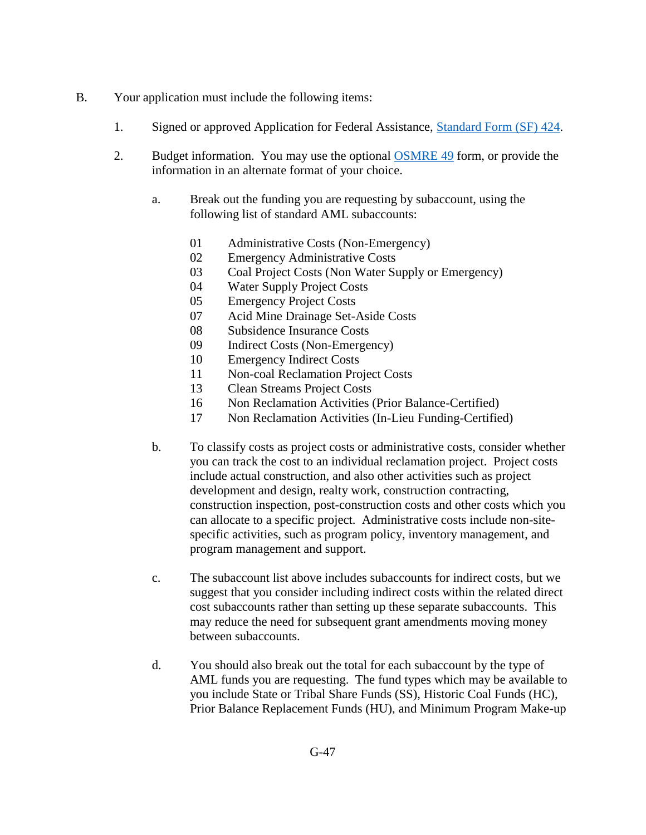- B. Your application must include the following items:
	- 1. Signed or approved Application for Federal Assistance, [Standard Form \(SF\) 424.](http://apply07.grants.gov/apply/forms/sample/SF424_2_1-V2.1.pdf)
	- 2. Budget information. You may use the optional [OSMRE 49](http://www.osmre.gov/resources/forms/OSM49.pdf) form, or provide the information in an alternate format of your choice.
		- a. Break out the funding you are requesting by subaccount, using the following list of standard AML subaccounts:
			- 01 Administrative Costs (Non-Emergency)
			- 02 Emergency Administrative Costs
			- 03 Coal Project Costs (Non Water Supply or Emergency)
			- 04 Water Supply Project Costs
			- 05 Emergency Project Costs
			- 07 Acid Mine Drainage Set-Aside Costs
			- 08 Subsidence Insurance Costs
			- 09 Indirect Costs (Non-Emergency)
			- 10 Emergency Indirect Costs
			- 11 Non-coal Reclamation Project Costs
			- 13 Clean Streams Project Costs
			- 16 Non Reclamation Activities (Prior Balance-Certified)
			- 17 Non Reclamation Activities (In-Lieu Funding-Certified)
		- b. To classify costs as project costs or administrative costs, consider whether you can track the cost to an individual reclamation project. Project costs include actual construction, and also other activities such as project development and design, realty work, construction contracting, construction inspection, post-construction costs and other costs which you can allocate to a specific project. Administrative costs include non-sitespecific activities, such as program policy, inventory management, and program management and support.
		- c. The subaccount list above includes subaccounts for indirect costs, but we suggest that you consider including indirect costs within the related direct cost subaccounts rather than setting up these separate subaccounts. This may reduce the need for subsequent grant amendments moving money between subaccounts.
		- d. You should also break out the total for each subaccount by the type of AML funds you are requesting. The fund types which may be available to you include State or Tribal Share Funds (SS), Historic Coal Funds (HC), Prior Balance Replacement Funds (HU), and Minimum Program Make-up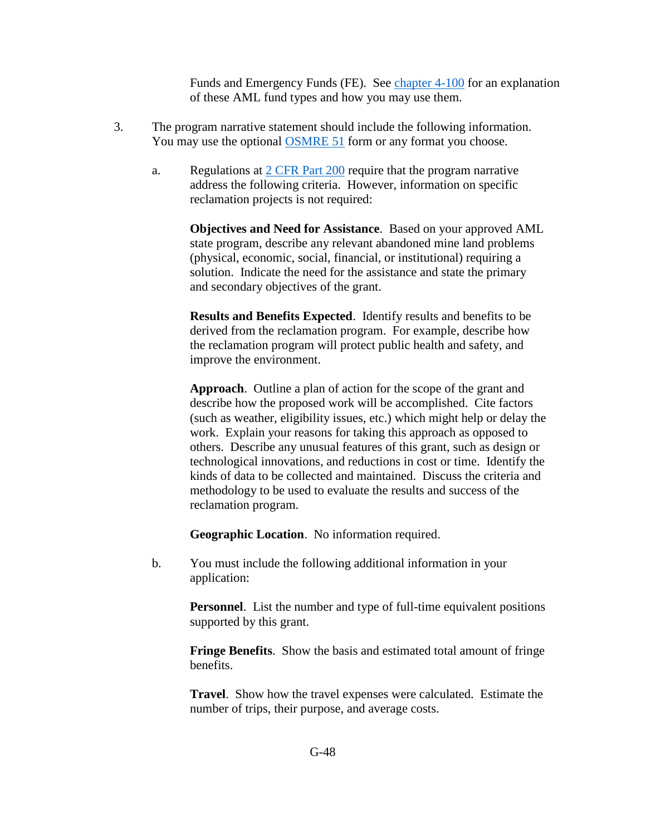Funds and Emergency Funds (FE). See [chapter 4-100](https://www.osmre.gov/lrg/fam/4-100.pdf) for an explanation of these AML fund types and how you may use them.

- 3. The program narrative statement should include the following information. You may use the optional [OSMRE 51](http://www.osmre.gov/resources/forms/OSM51.pdf) form or any format you choose.
	- a. Regulations at [2 CFR Part 200](http://www.ecfr.gov/cgi-bin/text-idx?SID=94b7e0e32f88dc784a9e1b22aea9392c&node=pt2.1.200&rgn=div5#sp2.1.200.d) require that the program narrative address the following criteria. However, information on specific reclamation projects is not required:

**Objectives and Need for Assistance**. Based on your approved AML state program, describe any relevant abandoned mine land problems (physical, economic, social, financial, or institutional) requiring a solution. Indicate the need for the assistance and state the primary and secondary objectives of the grant.

**Results and Benefits Expected**. Identify results and benefits to be derived from the reclamation program. For example, describe how the reclamation program will protect public health and safety, and improve the environment.

**Approach**. Outline a plan of action for the scope of the grant and describe how the proposed work will be accomplished. Cite factors (such as weather, eligibility issues, etc.) which might help or delay the work. Explain your reasons for taking this approach as opposed to others. Describe any unusual features of this grant, such as design or technological innovations, and reductions in cost or time. Identify the kinds of data to be collected and maintained. Discuss the criteria and methodology to be used to evaluate the results and success of the reclamation program.

**Geographic Location**. No information required.

b. You must include the following additional information in your application:

> **Personnel**. List the number and type of full-time equivalent positions supported by this grant.

> **Fringe Benefits**. Show the basis and estimated total amount of fringe benefits.

> **Travel**. Show how the travel expenses were calculated. Estimate the number of trips, their purpose, and average costs.